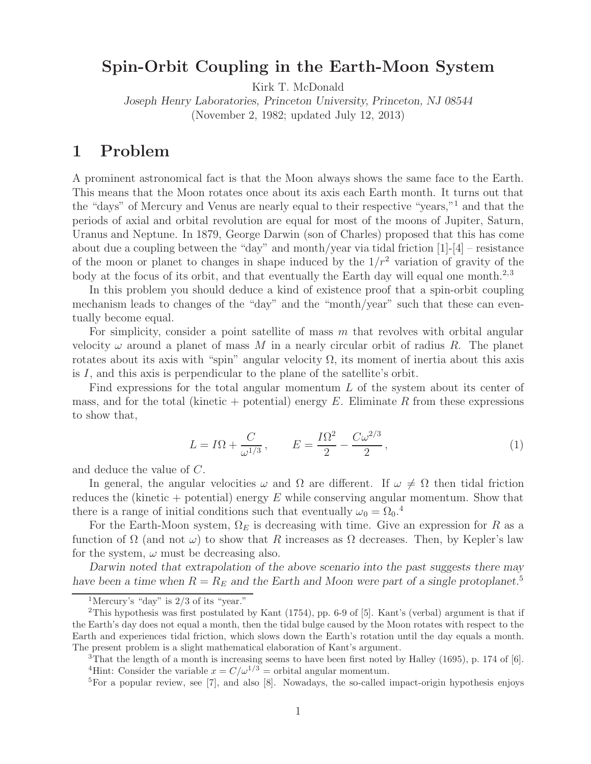## **Spin-Orbit Coupling in the Earth-Moon System** Kirk T. McDonald

*Joseph Henry Laboratories, Princeton University, Princeton, NJ 08544* (November 2, 1982; updated July 12, 2013)

A prominent astronomical fact is that the Moon always shows the same face to the Earth. This means that the Moon rotates once about its axis each Earth month. It turns out that the "days" of Mercury and Venus are nearly equal to their respective "years,"<sup>1</sup> and that the periods of axial and orbital revolution are equal for most of the moons of Jupiter, Saturn, Uranus and Neptune. In 1879, George Darwin (son of Charles) proposed that this has come about due a coupling between the "day" and month/year via tidal friction  $[1]-[4]$  – resistance of the moon or planet to changes in shape induced by the  $1/r^2$  variation of gravity of the body at the focus of its orbit, and that eventually the Earth day will equal one month.<sup>2,3</sup>

In this problem you should deduce a kind of existence proof that a spin-orbit coupling mechanism leads to changes of the "day" and the "month/year" such that these can eventually become equal.

For simplicity, consider a point satellite of mass  $m$  that revolves with orbital angular velocity  $\omega$  around a planet of mass M in a nearly circular orbit of radius R. The planet rotates about its axis with "spin" angular velocity  $\Omega$ , its moment of inertia about this axis is  $I$ , and this axis is perpendicular to the plane of the satellite's orbit.

Find expressions for the total angular momentum L of the system about its center of mass, and for the total (kinetic + potential) energy E. Eliminate R from these expressions to show that,

$$
L = I\Omega + \frac{C}{\omega^{1/3}}, \qquad E = \frac{I\Omega^2}{2} - \frac{C\omega^{2/3}}{2}, \qquad (1)
$$

and deduce the value of C.

In general, the angular velocities  $\omega$  and  $\Omega$  are different. If  $\omega \neq \Omega$  then tidal friction reduces the (kinetic + potential) energy  $E$  while conserving angular momentum. Show that there is a range of initial conditions such that eventually  $\omega_0 = \Omega_0$ .

For the Earth-Moon system,  $\Omega_E$  is decreasing with time. Give an expression for R as a function of  $\Omega$  (and not  $\omega$ ) to show that R increases as  $\Omega$  decreases. Then, by Kepler's law for the system,  $\omega$  must be decreasing also.

*Darwin noted that extrapolation of the above scenario into the past suggests there may have been a time when*  $R = R_E$  *and the Earth and Moon were part of a single protoplanet.*<sup>5</sup>

<sup>&</sup>lt;sup>1</sup>Mercury's "day" is  $2/3$  of its "year."

<sup>2</sup>This hypothesis was first postulated by Kant (1754), pp. 6-9 of [5]. Kant's (verbal) argument is that if the Earth's day does not equal a month, then the tidal bulge caused by the Moon rotates with respect to the Earth and experiences tidal friction, which slows down the Earth's rotation until the day equals a month. The present problem is a slight mathematical elaboration of Kant's argument.

<sup>&</sup>lt;sup>3</sup>That the length of a month is increasing seems to have been first noted by Halley (1695), p. 174 of [6]. <sup>4</sup>Hint: Consider the variable  $x = C/\omega^{1/3} =$  orbital angular momentum.

 ${}^{5}$  For a popular review, see [7], and also [8]. Nowadays, the so-called impact-origin hypothesis enjoys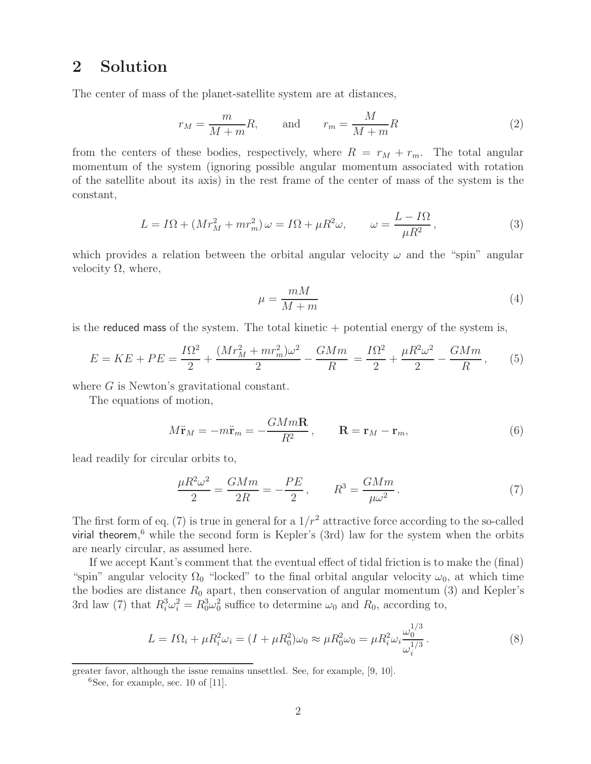## **2 Solution**

The center of mass of the planet-satellite system are at distances,

$$
r_M = \frac{m}{M+m}R, \qquad \text{and} \qquad r_m = \frac{M}{M+m}R
$$
 (2)

from the centers of these bodies, respectively, where  $R = r_M + r_m$ . The total angular momentum of the system (ignoring possible angular momentum associated with rotation of the satellite about its axis) in the rest frame of the center of mass of the system is the constant,

$$
L = I\Omega + (Mr_M^2 + mr_m^2)\,\omega = I\Omega + \mu R^2 \omega, \qquad \omega = \frac{L - I\Omega}{\mu R^2},\tag{3}
$$

which provides a relation between the orbital angular velocity  $\omega$  and the "spin" angular velocity Ω, where,

$$
\mu = \frac{mM}{M+m} \tag{4}
$$

is the reduced mass of the system. The total kinetic  $+$  potential energy of the system is,

$$
E = KE + PE = \frac{I\Omega^2}{2} + \frac{(Mr_M^2 + mr_m^2)\omega^2}{2} - \frac{GMm}{R} = \frac{I\Omega^2}{2} + \frac{\mu R^2 \omega^2}{2} - \frac{GMm}{R},\qquad(5)
$$

where G is Newton's gravitational constant.

The equations of motion,

$$
M\ddot{\mathbf{r}}_M = -m\ddot{\mathbf{r}}_m = -\frac{GMm\mathbf{R}}{R^2}, \qquad \mathbf{R} = \mathbf{r}_M - \mathbf{r}_m,\tag{6}
$$

lead readily for circular orbits to,

$$
\frac{\mu R^2 \omega^2}{2} = \frac{GMm}{2R} = -\frac{PE}{2}, \qquad R^3 = \frac{GMm}{\mu \omega^2}.
$$
 (7)

The first form of eq. (7) is true in general for a  $1/r^2$  attractive force according to the so-called virial theorem, <sup>6</sup> while the second form is Kepler's (3rd) law for the system when the orbits are nearly circular, as assumed here.

If we accept Kant's comment that the eventual effect of tidal friction is to make the (final) "spin" angular velocity  $\Omega_0$  "locked" to the final orbital angular velocity  $\omega_0$ , at which time the bodies are distance  $R_0$  apart, then conservation of angular momentum (3) and Kepler's 3rd law (7) that  $R_i^3 \omega_i^2 = R_0^3 \omega_0^2$  suffice to determine  $\omega_0$  and  $R_0$ , according to,

$$
L = I\Omega_i + \mu R_i^2 \omega_i = (I + \mu R_0^2) \omega_0 \approx \mu R_0^2 \omega_0 = \mu R_i^2 \omega_i \frac{\omega_0^{1/3}}{\omega_i^{1/3}}.
$$
 (8)

greater favor, although the issue remains unsettled. See, for example, [9, 10].

 ${}^{6}$ See, for example, sec. 10 of [11].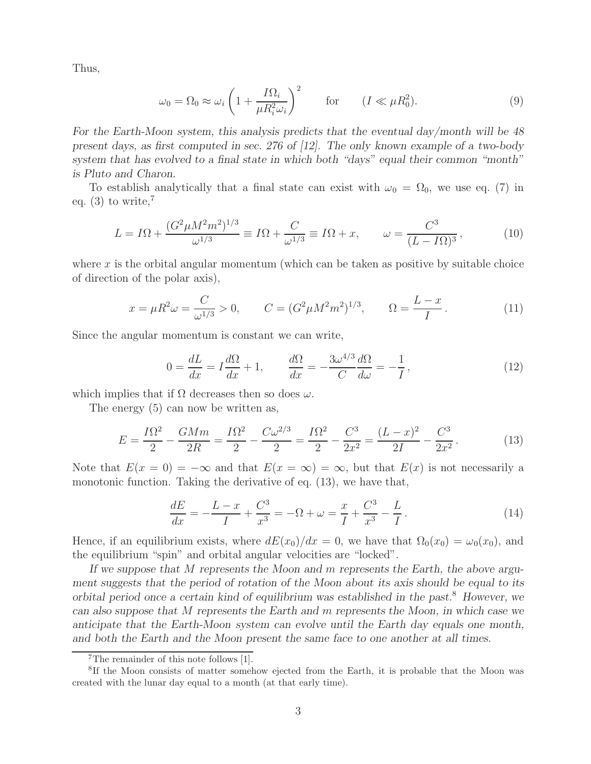Thus,

$$
\omega_0 = \Omega_0 \approx \omega_i \left( 1 + \frac{I \Omega_i}{\mu R_i^2 \omega_i} \right)^2 \qquad \text{for} \qquad (I \ll \mu R_0^2). \tag{9}
$$

*For the Earth-Moon system, this analysis predicts that the eventual day/month will be 48 present days, as first computed in sec. 276 of [12]. The only known example of a two-body system that has evolved to a final state in which both "days" equal their common "month" is Pluto and Charon.*

To establish analytically that a final state can exist with  $\omega_0 = \Omega_0$ , we use eq. (7) in eq.  $(3)$  to write,<sup>7</sup>

$$
L = I\Omega + \frac{(G^2 \mu M^2 m^2)^{1/3}}{\omega^{1/3}} \equiv I\Omega + \frac{C}{\omega^{1/3}} \equiv I\Omega + x, \qquad \omega = \frac{C^3}{(L - I\Omega)^3},
$$
(10)

where  $x$  is the orbital angular momentum (which can be taken as positive by suitable choice of direction of the polar axis),

$$
x = \mu R^2 \omega = \frac{C}{\omega^{1/3}} > 0, \qquad C = (G^2 \mu M^2 m^2)^{1/3}, \qquad \Omega = \frac{L - x}{I}.
$$
 (11)

Since the angular momentum is constant we can write,

$$
0 = \frac{dL}{dx} = I\frac{d\Omega}{dx} + 1, \qquad \frac{d\Omega}{dx} = -\frac{3\omega^{4/3}}{C}\frac{d\Omega}{d\omega} = -\frac{1}{I},\tag{12}
$$

which implies that if  $\Omega$  decreases then so does  $\omega$ .

The energy (5) can now be written as,

$$
E = \frac{I\Omega^2}{2} - \frac{GMm}{2R} = \frac{I\Omega^2}{2} - \frac{C\omega^{2/3}}{2} = \frac{I\Omega^2}{2} - \frac{C^3}{2x^2} = \frac{(L-x)^2}{2I} - \frac{C^3}{2x^2}.
$$
 (13)

Note that  $E(x = 0) = -\infty$  and that  $E(x = \infty) = \infty$ , but that  $E(x)$  is not necessarily a monotonic function. Taking the derivative of eq.  $(13)$ , we have that,

$$
\frac{dE}{dx} = -\frac{L-x}{I} + \frac{C^3}{x^3} = -\Omega + \omega = \frac{x}{I} + \frac{C^3}{x^3} - \frac{L}{I}.
$$
\n(14)

Hence, if an equilibrium exists, where  $dE(x_0)/dx = 0$ , we have that  $\Omega_0(x_0) = \omega_0(x_0)$ , and the equilibrium "spin" and orbital angular velocities are "locked".

*If we suppose that* M *represents the Moon and* m *represents the Earth, the above argument suggests that the period of rotation of the Moon about its axis should be equal to its orbital period once a certain kind of equilibrium was established in the past.*<sup>8</sup> *However, we can also suppose that* M *represents the Earth and* m *represents the Moon, in which case we anticipate that the Earth-Moon system can evolve until the Earth day equals one month, and both the Earth and the Moon present the same face to one another at all times.*

<sup>7</sup>The remainder of this note follows [1].

<sup>&</sup>lt;sup>8</sup>If the Moon consists of matter somehow ejected from the Earth, it is probable that the Moon was created with the lunar day equal to a month (at that early time).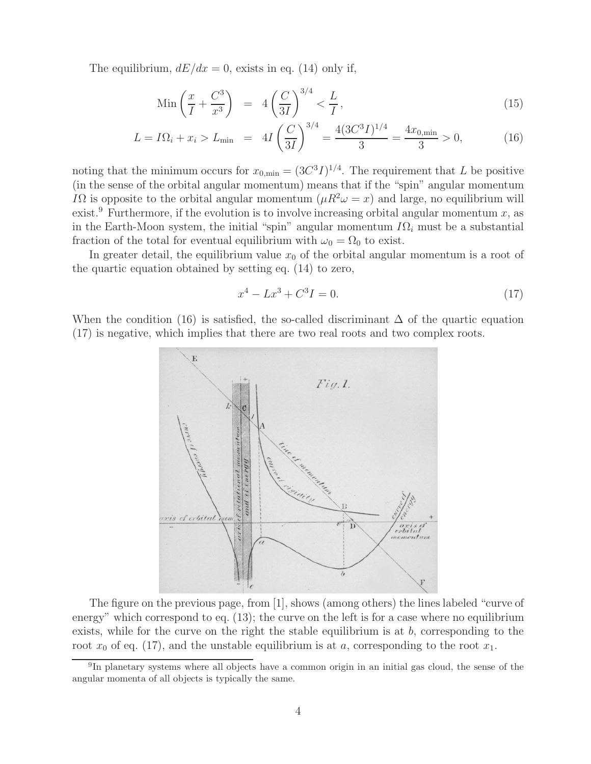The equilibrium,  $dE/dx = 0$ , exists in eq. (14) only if,

$$
\operatorname{Min}\left(\frac{x}{I} + \frac{C^3}{x^3}\right) = 4\left(\frac{C}{3I}\right)^{3/4} < \frac{L}{I},\tag{15}
$$

$$
L = I\Omega_i + x_i > L_{\min} = 4I\left(\frac{C}{3I}\right)^{3/4} = \frac{4(3C^3I)^{1/4}}{3} = \frac{4x_{0,\min}}{3} > 0,
$$
 (16)

noting that the minimum occurs for  $x_{0,\text{min}} = (3C^3I)^{1/4}$ . The requirement that L be positive (in the sense of the orbital angular momentum) means that if the "spin" angular momentum I $\Omega$  is opposite to the orbital angular momentum  $(\mu R^2 \omega = x)$  and large, no equilibrium will exist.<sup>9</sup> Furthermore, if the evolution is to involve increasing orbital angular momentum  $x$ , as in the Earth-Moon system, the initial "spin" angular momentum IΩ*<sup>i</sup>* must be a substantial fraction of the total for eventual equilibrium with  $\omega_0 = \Omega_0$  to exist.

In greater detail, the equilibrium value  $x_0$  of the orbital angular momentum is a root of the quartic equation obtained by setting eq. (14) to zero,

$$
x^4 - Lx^3 + C^3I = 0.\t\t(17)
$$

When the condition (16) is satisfied, the so-called discriminant  $\Delta$  of the quartic equation (17) is negative, which implies that there are two real roots and two complex roots.



The figure on the previous page, from [1], shows (among others) the lines labeled "curve of energy" which correspond to eq. (13); the curve on the left is for a case where no equilibrium exists, while for the curve on the right the stable equilibrium is at  $b$ , corresponding to the root  $x_0$  of eq. (17), and the unstable equilibrium is at a, corresponding to the root  $x_1$ .

<sup>9</sup>In planetary systems where all objects have a common origin in an initial gas cloud, the sense of the angular momenta of all objects is typically the same.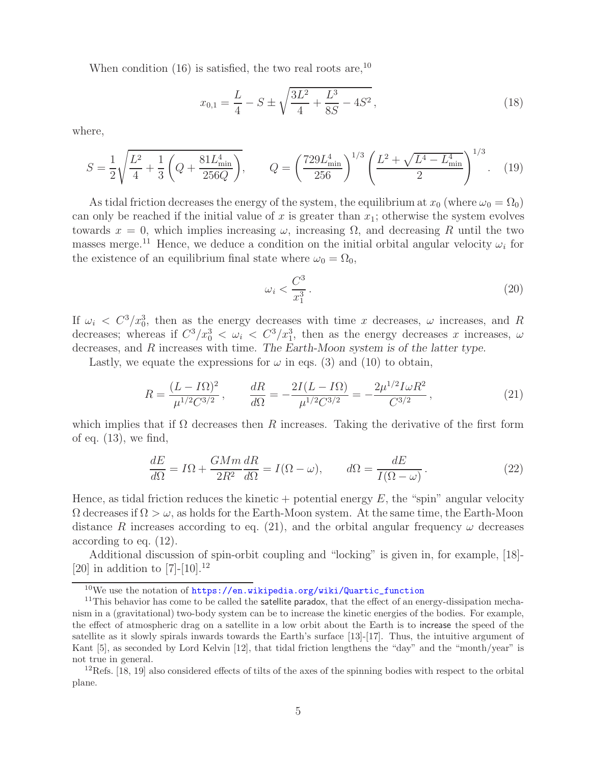When condition  $(16)$  is satisfied, the two real roots are,<sup>10</sup>

$$
x_{0,1} = \frac{L}{4} - S \pm \sqrt{\frac{3L^2}{4} + \frac{L^3}{8S} - 4S^2},\tag{18}
$$

where,

$$
S = \frac{1}{2} \sqrt{\frac{L^2}{4} + \frac{1}{3} \left( Q + \frac{81 L_{\text{min}}^4}{256Q} \right)}, \qquad Q = \left( \frac{729 L_{\text{min}}^4}{256} \right)^{1/3} \left( \frac{L^2 + \sqrt{L^4 - L_{\text{min}}^4}}{2} \right)^{1/3}.
$$
 (19)

As tidal friction decreases the energy of the system, the equilibrium at  $x_0$  (where  $\omega_0 = \Omega_0$ ) can only be reached if the initial value of x is greater than  $x_1$ ; otherwise the system evolves towards  $x = 0$ , which implies increasing  $\omega$ , increasing  $\Omega$ , and decreasing R until the two masses merge.<sup>11</sup> Hence, we deduce a condition on the initial orbital angular velocity  $\omega_i$  for the existence of an equilibrium final state where  $\omega_0 = \Omega_0$ ,

$$
\omega_i < \frac{C^3}{x_1^3} \tag{20}
$$

If  $\omega_i \, < \, C^3 / x_0^3$ , then as the energy decreases with time x decreases,  $\omega$  increases, and R decreases; whereas if  $C^3/x_0^3 < \omega_i < C^3/x_1^3$ , then as the energy decreases x increases,  $\omega$ decreases, and R increases with time. *The Earth-Moon system is of the latter type.*

Lastly, we equate the expressions for  $\omega$  in eqs. (3) and (10) to obtain,

$$
R = \frac{(L - I\Omega)^2}{\mu^{1/2}C^{3/2}}, \qquad \frac{dR}{d\Omega} = -\frac{2I(L - I\Omega)}{\mu^{1/2}C^{3/2}} = -\frac{2\mu^{1/2}I\omega R^2}{C^{3/2}},\tag{21}
$$

which implies that if  $\Omega$  decreases then R increases. Taking the derivative of the first form of eq.  $(13)$ , we find,

$$
\frac{dE}{d\Omega} = I\Omega + \frac{GMm}{2R^2}\frac{dR}{d\Omega} = I(\Omega - \omega), \qquad d\Omega = \frac{dE}{I(\Omega - \omega)}.
$$
\n(22)

Hence, as tidal friction reduces the kinetic + potential energy  $E$ , the "spin" angular velocity  $\Omega$  decreases if  $\Omega > \omega$ , as holds for the Earth-Moon system. At the same time, the Earth-Moon distance R increases according to eq. (21), and the orbital angular frequency  $\omega$  decreases according to eq. (12).

Additional discussion of spin-orbit coupling and "locking" is given in, for example, [18]- [20] in addition to  $[7]-[10].^{12}$ 

 $10$ We use the notation of https://en.wikipedia.org/wiki/Quartic\_function

 $11$ This behavior has come to be called the satellite paradox, that the effect of an energy-dissipation mechanism in a (gravitational) two-body system can be to increase the kinetic energies of the bodies. For example, the effect of atmospheric drag on a satellite in a low orbit about the Earth is to increase the speed of the satellite as it slowly spirals inwards towards the Earth's surface [13]-[17]. Thus, the intuitive argument of Kant [5], as seconded by Lord Kelvin [12], that tidal friction lengthens the "day" and the "month/year" is not true in general.

 $12$ Refs. [18, 19] also considered effects of tilts of the axes of the spinning bodies with respect to the orbital plane.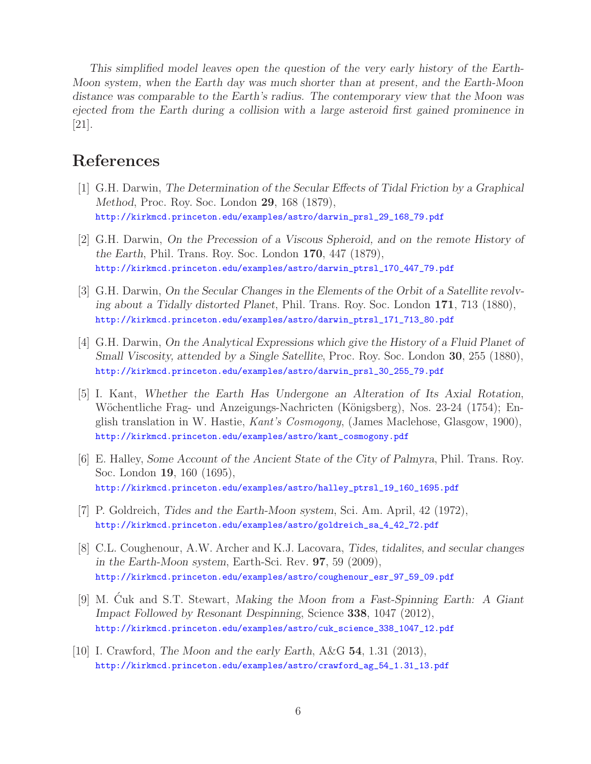*This simplified model leaves open the question of the very early history of the Earth-Moon system, when the Earth day was much shorter than at present, and the Earth-Moon distance was comparable to the Earth's radius. The contemporary view that the Moon was ejected from the Earth during a collision with a large asteroid first gained prominence in* [21].

## **References**

- [1] G.H. Darwin, *The Determination of the Secular Effects of Tidal Friction by a Graphical Method*, Proc. Roy. Soc. London **29**, 168 (1879), http://kirkmcd.princeton.edu/examples/astro/darwin\_prsl\_29\_168\_79.pdf
- [2] G.H. Darwin, *On the Precession of a Viscous Spheroid, and on the remote History of the Earth*, Phil. Trans. Roy. Soc. London **170**, 447 (1879), http://kirkmcd.princeton.edu/examples/astro/darwin\_ptrsl\_170\_447\_79.pdf
- [3] G.H. Darwin, *On the Secular Changes in the Elements of the Orbit of a Satellite revolving about a Tidally distorted Planet*, Phil. Trans. Roy. Soc. London **171**, 713 (1880), http://kirkmcd.princeton.edu/examples/astro/darwin\_ptrsl\_171\_713\_80.pdf
- [4] G.H. Darwin, *On the Analytical Expressions which give the History of a Fluid Planet of Small Viscosity, attended by a Single Satellite*, Proc. Roy. Soc. London **30**, 255 (1880), http://kirkmcd.princeton.edu/examples/astro/darwin\_prsl\_30\_255\_79.pdf
- [5] I. Kant, *Whether the Earth Has Undergone an Alteration of Its Axial Rotation*, Wöchentliche Frag- und Anzeigungs-Nachricten (Königsberg), Nos. 23-24 (1754); English translation in W. Hastie, *Kant's Cosmogony*, (James Maclehose, Glasgow, 1900), http://kirkmcd.princeton.edu/examples/astro/kant\_cosmogony.pdf
- [6] E. Halley, *Some Account of the Ancient State of the City of Palmyra*, Phil. Trans. Roy. Soc. London **19**, 160 (1695), http://kirkmcd.princeton.edu/examples/astro/halley\_ptrsl\_19\_160\_1695.pdf
- [7] P. Goldreich, *Tides and the Earth-Moon system*, Sci. Am. April, 42 (1972), http://kirkmcd.princeton.edu/examples/astro/goldreich\_sa\_4\_42\_72.pdf
- [8] C.L. Coughenour, A.W. Archer and K.J. Lacovara, *Tides, tidalites, and secular changes in the Earth-Moon system*, Earth-Sci. Rev. **97**, 59 (2009), http://kirkmcd.princeton.edu/examples/astro/coughenour\_esr\_97\_59\_09.pdf
- [9] M. Cuk and S.T. Stewart, *Making the Moon from a Fast-Spinning Earth: A Giant Impact Followed by Resonant Despinning*, Science **338**, 1047 (2012), http://kirkmcd.princeton.edu/examples/astro/cuk\_science\_338\_1047\_12.pdf
- [10] I. Crawford, *The Moon and the early Earth*, A&G **54**, 1.31 (2013), http://kirkmcd.princeton.edu/examples/astro/crawford\_ag\_54\_1.31\_13.pdf